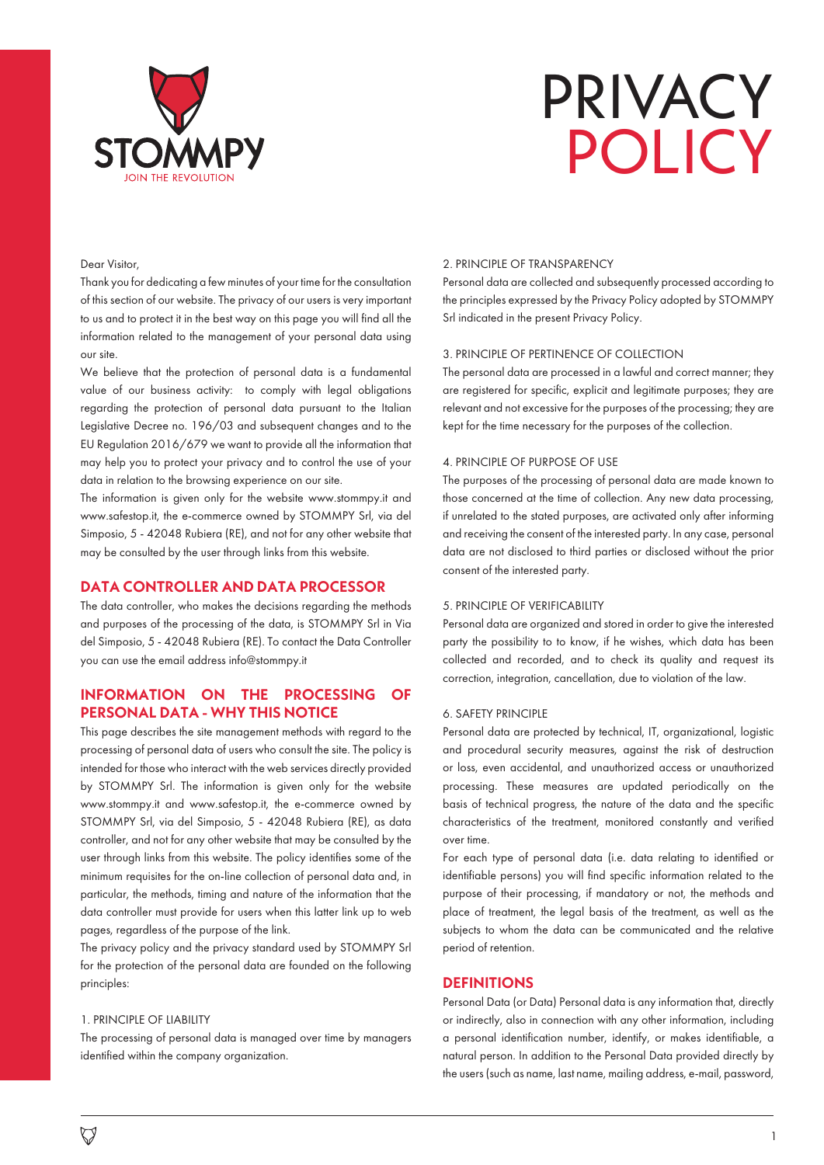

# PRIVACY POLICY

# Dear Visitor,

Thank you for dedicating a few minutes of your time for the consultation of this section of our website. The privacy of our users is very important to us and to protect it in the best way on this page you will find all the information related to the management of your personal data using our site.

We believe that the protection of personal data is a fundamental value of our business activity: to comply with legal obligations regarding the protection of personal data pursuant to the Italian Legislative Decree no. 196/03 and subsequent changes and to the EU Regulation 2016/679 we want to provide all the information that may help you to protect your privacy and to control the use of your data in relation to the browsing experience on our site.

The information is given only for the website www.stommpy.it and www.safestop.it, the e-commerce owned by STOMMPY Srl, via del Simposio, 5 - 42048 Rubiera (RE), and not for any other website that may be consulted by the user through links from this website.

# **DATA CONTROLLER AND DATA PROCESSOR**

The data controller, who makes the decisions regarding the methods and purposes of the processing of the data, is STOMMPY Srl in Via del Simposio, 5 - 42048 Rubiera (RE). To contact the Data Controller you can use the email address info@stommpy.it

# **INFORMATION ON THE PROCESSING OF PERSONAL DATA - WHY THIS NOTICE**

This page describes the site management methods with regard to the processing of personal data of users who consult the site. The policy is intended for those who interact with the web services directly provided by STOMMPY Srl. The information is given only for the website www.stommpy.it and www.safestop.it, the e-commerce owned by STOMMPY Srl, via del Simposio, 5 - 42048 Rubiera (RE), as data controller, and not for any other website that may be consulted by the user through links from this website. The policy identifies some of the minimum requisites for the on-line collection of personal data and, in particular, the methods, timing and nature of the information that the data controller must provide for users when this latter link up to web pages, regardless of the purpose of the link.

The privacy policy and the privacy standard used by STOMMPY Srl for the protection of the personal data are founded on the following principles:

## 1. PRINCIPLE OF LIABILITY

The processing of personal data is managed over time by managers identified within the company organization.

## 2. PRINCIPLE OF TRANSPARENCY

Personal data are collected and subsequently processed according to the principles expressed by the Privacy Policy adopted by STOMMPY Srl indicated in the present Privacy Policy.

# 3. PRINCIPLE OF PERTINENCE OF COLLECTION

The personal data are processed in a lawful and correct manner; they are registered for specific, explicit and legitimate purposes; they are relevant and not excessive for the purposes of the processing; they are kept for the time necessary for the purposes of the collection.

# 4. PRINCIPLE OF PURPOSE OF USE

The purposes of the processing of personal data are made known to those concerned at the time of collection. Any new data processing, if unrelated to the stated purposes, are activated only after informing and receiving the consent of the interested party. In any case, personal data are not disclosed to third parties or disclosed without the prior consent of the interested party.

#### 5. PRINCIPLE OF VERIFICABILITY

Personal data are organized and stored in order to give the interested party the possibility to to know, if he wishes, which data has been collected and recorded, and to check its quality and request its correction, integration, cancellation, due to violation of the law.

### 6. SAFETY PRINCIPLE

Personal data are protected by technical, IT, organizational, logistic and procedural security measures, against the risk of destruction or loss, even accidental, and unauthorized access or unauthorized processing. These measures are updated periodically on the basis of technical progress, the nature of the data and the specific characteristics of the treatment, monitored constantly and verified over time.

For each type of personal data (i.e. data relating to identified or identifiable persons) you will find specific information related to the purpose of their processing, if mandatory or not, the methods and place of treatment, the legal basis of the treatment, as well as the subjects to whom the data can be communicated and the relative period of retention.

# **DEFINITIONS**

Personal Data (or Data) Personal data is any information that, directly or indirectly, also in connection with any other information, including a personal identification number, identify, or makes identifiable, a natural person. In addition to the Personal Data provided directly by the users (such as name, last name, mailing address, e-mail, password,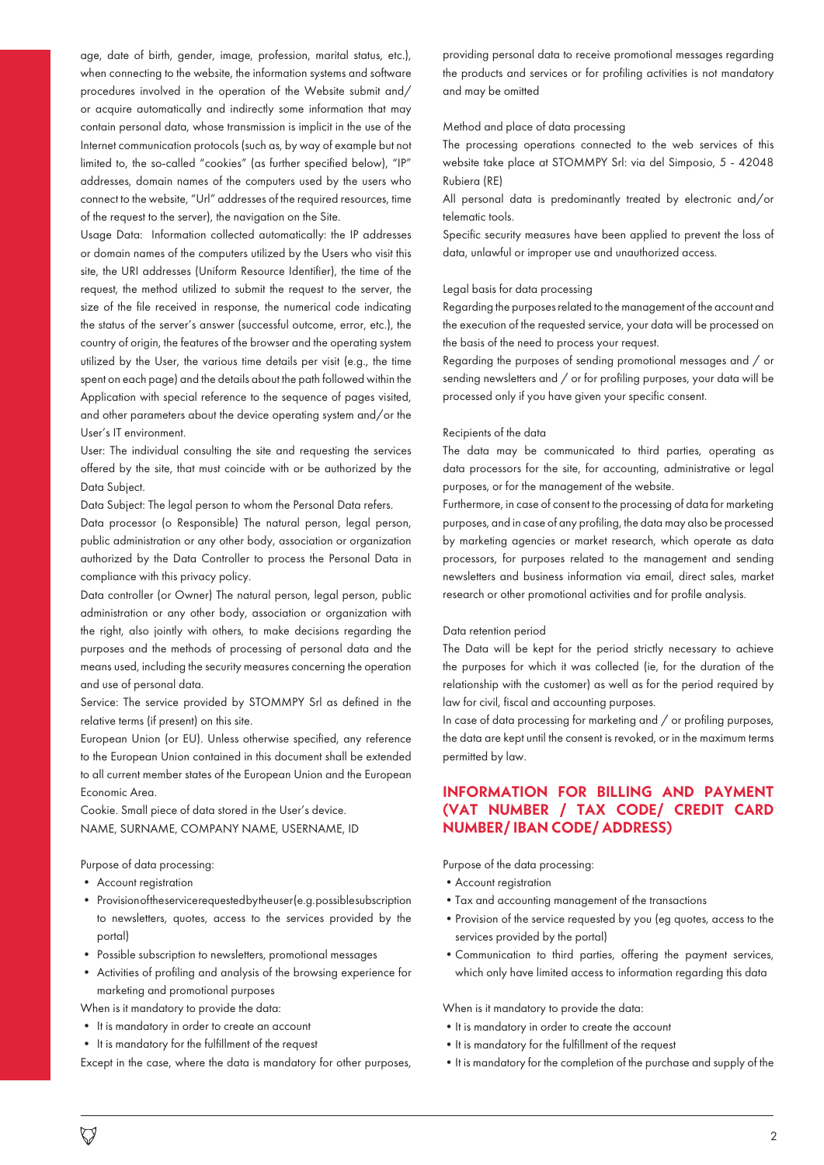age, date of birth, gender, image, profession, marital status, etc.), when connecting to the website, the information systems and software procedures involved in the operation of the Website submit and/ or acquire automatically and indirectly some information that may contain personal data, whose transmission is implicit in the use of the Internet communication protocols (such as, by way of example but not limited to, the so-called "cookies" (as further specified below), "IP" addresses, domain names of the computers used by the users who connect to the website, "Url" addresses of the required resources, time of the request to the server), the navigation on the Site.

Usage Data: Information collected automatically: the IP addresses or domain names of the computers utilized by the Users who visit this site, the URI addresses (Uniform Resource Identifier), the time of the request, the method utilized to submit the request to the server, the size of the file received in response, the numerical code indicating the status of the server's answer (successful outcome, error, etc.), the country of origin, the features of the browser and the operating system utilized by the User, the various time details per visit (e.g., the time spent on each page) and the details about the path followed within the Application with special reference to the sequence of pages visited, and other parameters about the device operating system and/or the User's IT environment.

User: The individual consulting the site and requesting the services offered by the site, that must coincide with or be authorized by the Data Subject.

Data Subject: The legal person to whom the Personal Data refers.

Data processor (o Responsible) The natural person, legal person, public administration or any other body, association or organization authorized by the Data Controller to process the Personal Data in compliance with this privacy policy.

Data controller (or Owner) The natural person, legal person, public administration or any other body, association or organization with the right, also jointly with others, to make decisions regarding the purposes and the methods of processing of personal data and the means used, including the security measures concerning the operation and use of personal data.

Service: The service provided by STOMMPY Srl as defined in the relative terms (if present) on this site.

European Union (or EU). Unless otherwise specified, any reference to the European Union contained in this document shall be extended to all current member states of the European Union and the European Economic Area.

Cookie. Small piece of data stored in the User's device. NAME, SURNAME, COMPANY NAME, USERNAME, ID

Purpose of data processing:

- Account registration
- Provision of the service requested by the user (e.g. possible subscription to newsletters, quotes, access to the services provided by the portal)
- Possible subscription to newsletters, promotional messages
- Activities of profiling and analysis of the browsing experience for marketing and promotional purposes

When is it mandatory to provide the data:

- It is mandatory in order to create an account
- It is mandatory for the fulfillment of the request

Except in the case, where the data is mandatory for other purposes,

providing personal data to receive promotional messages regarding the products and services or for profiling activities is not mandatory and may be omitted

# Method and place of data processing

The processing operations connected to the web services of this website take place at STOMMPY Srl: via del Simposio, 5 - 42048 Rubiera (RE)

All personal data is predominantly treated by electronic and/or telematic tools.

Specific security measures have been applied to prevent the loss of data, unlawful or improper use and unauthorized access.

## Legal basis for data processing

Regarding the purposes related to the management of the account and the execution of the requested service, your data will be processed on the basis of the need to process your request.

Regarding the purposes of sending promotional messages and / or sending newsletters and / or for profiling purposes, your data will be processed only if you have given your specific consent.

#### Recipients of the data

The data may be communicated to third parties, operating as data processors for the site, for accounting, administrative or legal purposes, or for the management of the website.

Furthermore, in case of consent to the processing of data for marketing purposes, and in case of any profiling, the data may also be processed by marketing agencies or market research, which operate as data processors, for purposes related to the management and sending newsletters and business information via email, direct sales, market research or other promotional activities and for profile analysis.

#### Data retention period

The Data will be kept for the period strictly necessary to achieve the purposes for which it was collected (ie, for the duration of the relationship with the customer) as well as for the period required by law for civil, fiscal and accounting purposes.

In case of data processing for marketing and / or profiling purposes, the data are kept until the consent is revoked, or in the maximum terms permitted by law.

# **INFORMATION FOR BILLING AND PAYMENT (VAT NUMBER / TAX CODE/ CREDIT CARD NUMBER/ IBAN CODE/ ADDRESS)**

Purpose of the data processing:

- •Account registration
- •Tax and accounting management of the transactions
- •Provision of the service requested by you (eg quotes, access to the services provided by the portal)
- •Communication to third parties, offering the payment services, which only have limited access to information regarding this data

When is it mandatory to provide the data:

- •It is mandatory in order to create the account
- It is mandatory for the fulfillment of the request
- •It is mandatory for the completion of the purchase and supply of the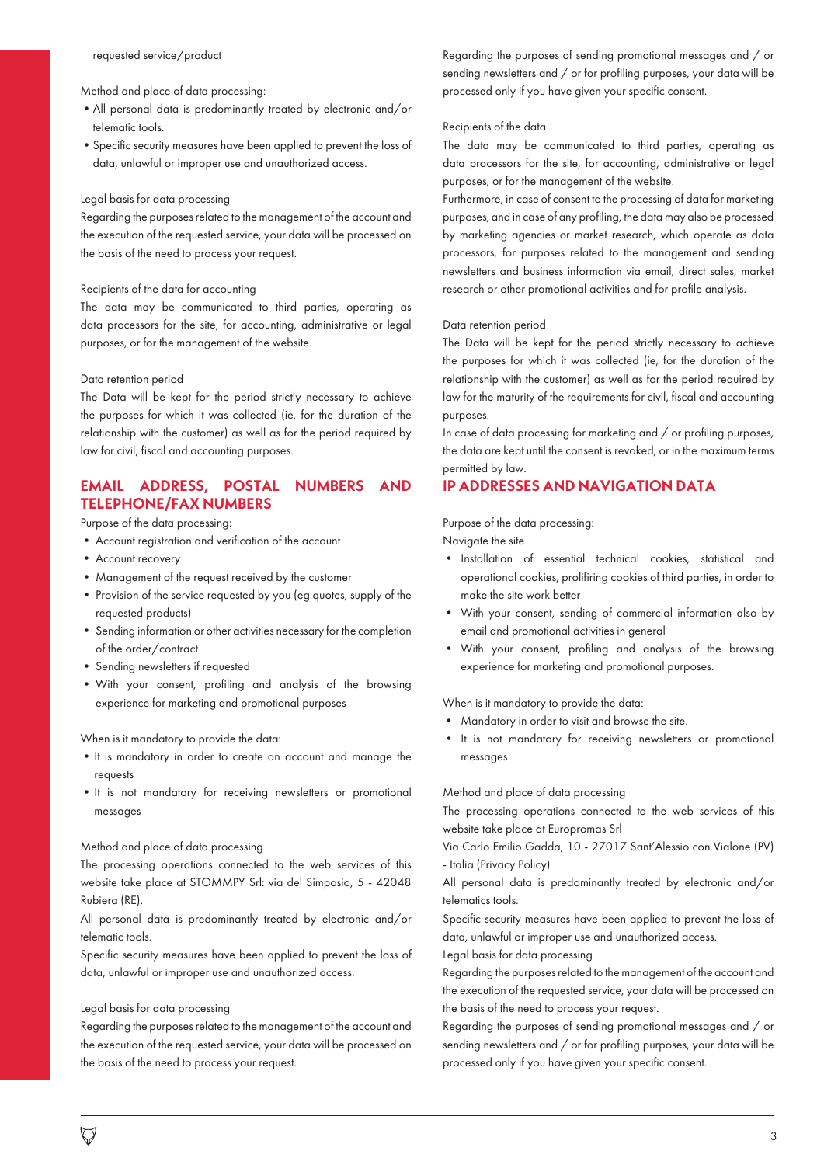# Method and place of data processing:

- •All personal data is predominantly treated by electronic and/or telematic tools.
- •Specific security measures have been applied to prevent the loss of data, unlawful or improper use and unauthorized access.

## Legal basis for data processing

Regarding the purposes related to the management of the account and the execution of the requested service, your data will be processed on the basis of the need to process your request.

### Recipients of the data for accounting

The data may be communicated to third parties, operating as data processors for the site, for accounting, administrative or legal purposes, or for the management of the website.

#### Data retention period

The Data will be kept for the period strictly necessary to achieve the purposes for which it was collected (ie, for the duration of the relationship with the customer) as well as for the period required by law for civil, fiscal and accounting purposes.

# **EMAIL ADDRESS, POSTAL NUMBERS AND TELEPHONE/FAX NUMBERS**

Purpose of the data processing:

- Account registration and verification of the account
- Account recovery
- Management of the request received by the customer
- Provision of the service requested by you (eg quotes, supply of the requested products)
- Sending information or other activities necessary for the completion of the order/contract
- Sending newsletters if requested
- With your consent, profiling and analysis of the browsing experience for marketing and promotional purposes

When is it mandatory to provide the data:

- •It is mandatory in order to create an account and manage the requests
- •It is not mandatory for receiving newsletters or promotional messages

## Method and place of data processing

The processing operations connected to the web services of this website take place at STOMMPY Srl: via del Simposio, 5 - 42048 Rubiera (RE).

All personal data is predominantly treated by electronic and/or telematic tools.

Specific security measures have been applied to prevent the loss of data, unlawful or improper use and unauthorized access.

### Legal basis for data processing

Regarding the purposes related to the management of the account and the execution of the requested service, your data will be processed on the basis of the need to process your request.

Regarding the purposes of sending promotional messages and / or sending newsletters and / or for profiling purposes, your data will be processed only if you have given your specific consent.

### Recipients of the data

The data may be communicated to third parties, operating as data processors for the site, for accounting, administrative or legal purposes, or for the management of the website.

Furthermore, in case of consent to the processing of data for marketing purposes, and in case of any profiling, the data may also be processed by marketing agencies or market research, which operate as data processors, for purposes related to the management and sending newsletters and business information via email, direct sales, market research or other promotional activities and for profile analysis.

## Data retention period

The Data will be kept for the period strictly necessary to achieve the purposes for which it was collected (ie, for the duration of the relationship with the customer) as well as for the period required by law for the maturity of the requirements for civil, fiscal and accounting purposes.

In case of data processing for marketing and / or profiling purposes, the data are kept until the consent is revoked, or in the maximum terms permitted by law.

# **IP ADDRESSES AND NAVIGATION DATA**

Purpose of the data processing:

Navigate the site

- Installation of essential technical cookies, statistical and operational cookies, prolifiring cookies of third parties, in order to make the site work better
- With your consent, sending of commercial information also by email and promotional activities in general
- With your consent, profiling and analysis of the browsing experience for marketing and promotional purposes.

When is it mandatory to provide the data:

- Mandatory in order to visit and browse the site.
- It is not mandatory for receiving newsletters or promotional messages

Method and place of data processing

The processing operations connected to the web services of this website take place at Europromas Srl

Via Carlo Emilio Gadda, 10 - 27017 Sant'Alessio con Vialone (PV) - Italia (Privacy Policy)

All personal data is predominantly treated by electronic and/or telematics tools.

Specific security measures have been applied to prevent the loss of data, unlawful or improper use and unauthorized access.

Legal basis for data processing

Regarding the purposes related to the management of the account and the execution of the requested service, your data will be processed on the basis of the need to process your request.

Regarding the purposes of sending promotional messages and / or sending newsletters and / or for profiling purposes, your data will be processed only if you have given your specific consent.